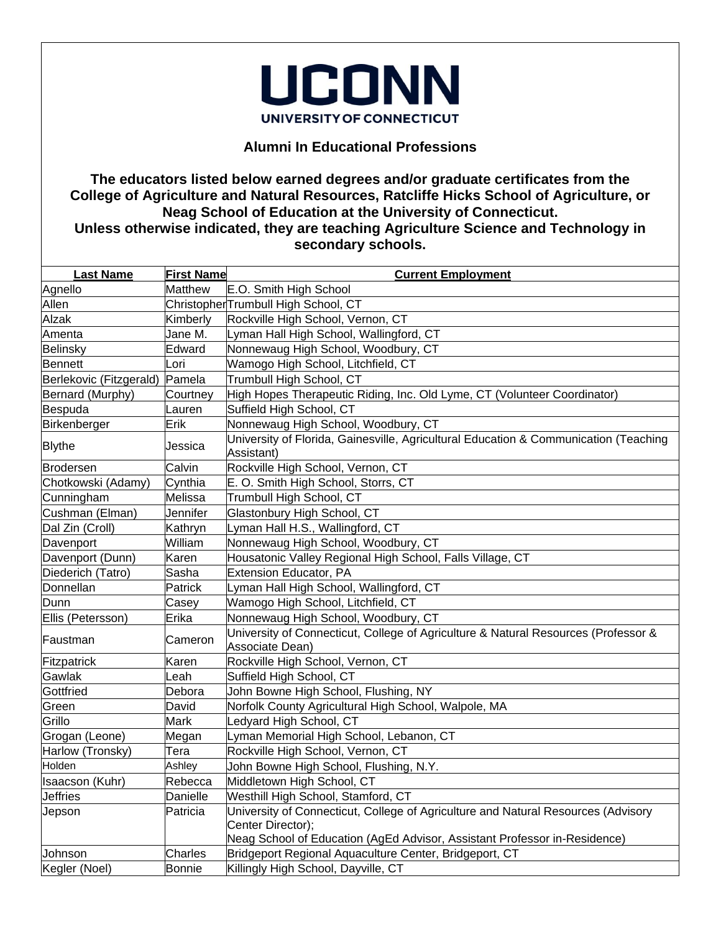

## **Alumni In Educational Professions**

## **The educators listed below earned degrees and/or graduate certificates from the College of Agriculture and Natural Resources, Ratcliffe Hicks School of Agriculture, or Neag School of Education at the University of Connecticut. Unless otherwise indicated, they are teaching Agriculture Science and Technology in secondary schools.**

| <b>Last Name</b>        | <b>First Name</b> | <b>Current Employment</b>                                                                             |
|-------------------------|-------------------|-------------------------------------------------------------------------------------------------------|
| Agnello                 | Matthew           | E.O. Smith High School                                                                                |
| Allen                   |                   | ChristopherTrumbull High School, CT                                                                   |
| Alzak                   | Kimberly          | Rockville High School, Vernon, CT                                                                     |
| Amenta                  | Jane M.           | Lyman Hall High School, Wallingford, CT                                                               |
| Belinsky                | Edward            | Nonnewaug High School, Woodbury, CT                                                                   |
| <b>Bennett</b>          | Lori              | Wamogo High School, Litchfield, CT                                                                    |
| Berlekovic (Fitzgerald) | Pamela            | Trumbull High School, CT                                                                              |
| Bernard (Murphy)        | Courtney          | High Hopes Therapeutic Riding, Inc. Old Lyme, CT (Volunteer Coordinator)                              |
| Bespuda                 | Lauren            | Suffield High School, CT                                                                              |
| Birkenberger            | Erik              | Nonnewaug High School, Woodbury, CT                                                                   |
| <b>Blythe</b>           | Jessica           | University of Florida, Gainesville, Agricultural Education & Communication (Teaching<br>Assistant)    |
| Brodersen               | Calvin            | Rockville High School, Vernon, CT                                                                     |
| Chotkowski (Adamy)      | Cynthia           | E. O. Smith High School, Storrs, CT                                                                   |
| Cunningham              | Melissa           | Trumbull High School, CT                                                                              |
| Cushman (Elman)         | Jennifer          | Glastonbury High School, CT                                                                           |
| Dal Zin (Croll)         | Kathryn           | Lyman Hall H.S., Wallingford, CT                                                                      |
| Davenport               | William           | Nonnewaug High School, Woodbury, CT                                                                   |
| Davenport (Dunn)        | Karen             | Housatonic Valley Regional High School, Falls Village, CT                                             |
| Diederich (Tatro)       | Sasha             | <b>Extension Educator, PA</b>                                                                         |
| Donnellan               | Patrick           | Lyman Hall High School, Wallingford, CT                                                               |
| Dunn                    | Casey             | Wamogo High School, Litchfield, CT                                                                    |
| Ellis (Petersson)       | Erika             | Nonnewaug High School, Woodbury, CT                                                                   |
| Faustman                | Cameron           | University of Connecticut, College of Agriculture & Natural Resources (Professor &<br>Associate Dean) |
| Fitzpatrick             | Karen             | Rockville High School, Vernon, CT                                                                     |
| Gawlak                  | Leah              | Suffield High School, CT                                                                              |
| Gottfried               | Debora            | John Bowne High School, Flushing, NY                                                                  |
| Green                   | David             | Norfolk County Agricultural High School, Walpole, MA                                                  |
| Grillo                  | Mark              | edyard High School, CT                                                                                |
| Grogan (Leone)          | Megan             | Lyman Memorial High School, Lebanon, CT                                                               |
| Harlow (Tronsky)        | Tera              | Rockville High School, Vernon, CT                                                                     |
| Holden                  | Ashley            | John Bowne High School, Flushing, N.Y.                                                                |
| Isaacson (Kuhr)         | Rebecca           | Middletown High School, CT                                                                            |
| <b>Jeffries</b>         | Danielle          | Westhill High School, Stamford, CT                                                                    |
| Jepson                  | Patricia          | University of Connecticut, College of Agriculture and Natural Resources (Advisory                     |
|                         |                   | Center Director);<br>Neag School of Education (AgEd Advisor, Assistant Professor in-Residence)        |
| Johnson                 | Charles           | Bridgeport Regional Aquaculture Center, Bridgeport, CT                                                |
| Kegler (Noel)           | <b>Bonnie</b>     | Killingly High School, Dayville, CT                                                                   |